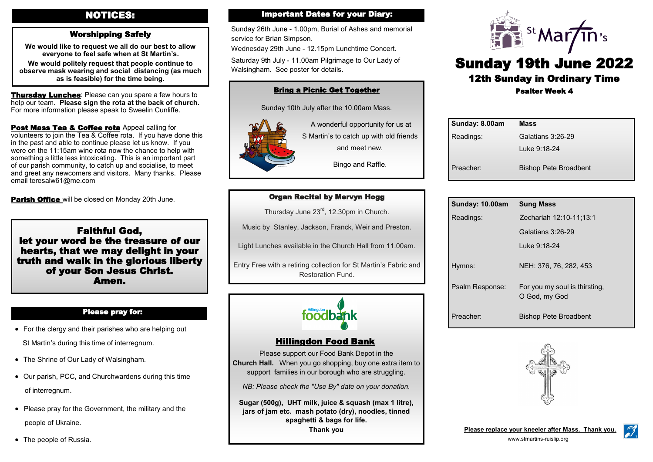# NOTICES:

# Worshipping Safely

**We would like to request we all do our best to allow everyone to feel safe when at St Martin's. We would politely request that people continue to observe mask wearing and social distancing (as much as is feasible) for the time being.** 

**Thursday Lunches: Please can you spare a few hours to** help our team. **Please sign the rota at the back of church.**  For more information please speak to Sweelin Cunliffe.

Post Mass Tea & Coffee rota Appeal calling for volunteers to join the Tea & Coffee rota. If you have done this in the past and able to continue please let us know. If you were on the 11:15am wine rota now the chance to help with something a little less intoxicating. This is an important part of our parish community, to catch up and socialise, to meet and greet any newcomers and visitors. Many thanks. Please email teresalw61@me.com

**Parish Office** will be closed on Monday 20th June.

Faithful God, let your word be the treasure of our hearts, that we may delight in your truth and walk in the glorious liberty of your Son Jesus Christ. Amen.

#### Please pray for:

• For the clergy and their parishes who are helping out

St Martin's during this time of interregnum.

- The Shrine of Our Lady of Walsingham.
- Our parish, PCC, and Churchwardens during this time of interregnum.
- Please pray for the Government, the military and the people of Ukraine.
- The people of Russia.

## Important Dates for your Diary:

Sunday 26th June - 1.00pm, Burial of Ashes and memorial service for Brian Simpson.

Wednesday 29th June - 12.15pm Lunchtime Concert.

Saturday 9th July - 11.00am Pilgrimage to Our Lady of Walsingham. See poster for details.

# Bring a Picnic Get Together

Sunday 10th July after the 10.00am Mass.



ī

A wonderful opportunity for us at S Martin's to catch up with old friends and meet new.

Bingo and Raffle.

# Organ Recital by Mervyn Hogg

Thursday June 23rd, 12.30pm in Church.

Music by Stanley, Jackson, Franck, Weir and Preston.

Light Lunches available in the Church Hall from 11.00am.

Entry Free with a retiring collection for St Martin's Fabric and Restoration Fund.



## Hillingdon Food Bank

Please support our Food Bank Depot in the **Church Hall.** When you go shopping, buy one extra item to support families in our borough who are struggling.

*NB: Please check the "Use By" date on your donation.*

**Sugar (500g), UHT milk, juice & squash (max 1 litre), jars of jam etc. mash potato (dry), noodles, tinned spaghetti & bags for life. Thank you**



# Sunday 19th June 2022 12th Sunday in Ordinary Time Psalter Week 4

| Sunday: 8.00am | <b>Mass</b>                  |
|----------------|------------------------------|
| Readings:      | Galatians 3:26-29            |
|                | Luke 9:18-24                 |
| Preacher:      | <b>Bishop Pete Broadbent</b> |

| Sunday: 10.00am       | <b>Sung Mass</b>                               |
|-----------------------|------------------------------------------------|
| Readings:             | Zechariah 12:10-11;13:1                        |
|                       | Galatians $3:26-29$                            |
|                       | Luke 9:18-24                                   |
| Hymns:                | NEH: 376, 76, 282, 453                         |
| Psalm Response:       | For you my soul is thirsting,<br>O God, my God |
| Preacher <sup>.</sup> | <b>Bishop Pete Broadbent</b>                   |



**Please replace your kneeler after Mass. Thank you.**